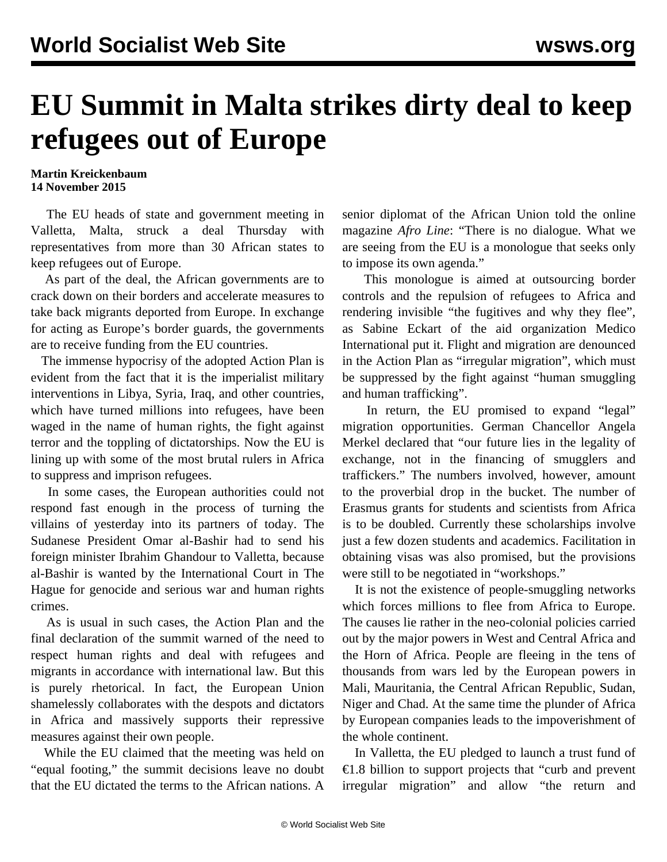## **EU Summit in Malta strikes dirty deal to keep refugees out of Europe**

**Martin Kreickenbaum 14 November 2015**

 The EU heads of state and government meeting in Valletta, Malta, struck a deal Thursday with representatives from more than 30 African states to keep refugees out of Europe.

 As part of the deal, the African governments are to crack down on their borders and accelerate measures to take back migrants deported from Europe. In exchange for acting as Europe's border guards, the governments are to receive funding from the EU countries.

 The immense hypocrisy of the adopted Action Plan is evident from the fact that it is the imperialist military interventions in Libya, Syria, Iraq, and other countries, which have turned millions into refugees, have been waged in the name of human rights, the fight against terror and the toppling of dictatorships. Now the EU is lining up with some of the most brutal rulers in Africa to suppress and imprison refugees.

 In some cases, the European authorities could not respond fast enough in the process of turning the villains of yesterday into its partners of today. The Sudanese President Omar al-Bashir had to send his foreign minister Ibrahim Ghandour to Valletta, because al-Bashir is wanted by the International Court in The Hague for genocide and serious war and human rights crimes.

 As is usual in such cases, the Action Plan and the final declaration of the summit warned of the need to respect human rights and deal with refugees and migrants in accordance with international law. But this is purely rhetorical. In fact, the European Union shamelessly collaborates with the despots and dictators in Africa and massively supports their repressive measures against their own people.

 While the EU claimed that the meeting was held on "equal footing," the summit decisions leave no doubt that the EU dictated the terms to the African nations. A

senior diplomat of the African Union told the online magazine *Afro Line*: "There is no dialogue. What we are seeing from the EU is a monologue that seeks only to impose its own agenda."

 This monologue is aimed at outsourcing border controls and the repulsion of refugees to Africa and rendering invisible "the fugitives and why they flee", as Sabine Eckart of the aid organization Medico International put it. Flight and migration are denounced in the Action Plan as "irregular migration", which must be suppressed by the fight against "human smuggling and human trafficking".

 In return, the EU promised to expand "legal" migration opportunities. German Chancellor Angela Merkel declared that "our future lies in the legality of exchange, not in the financing of smugglers and traffickers." The numbers involved, however, amount to the proverbial drop in the bucket. The number of Erasmus grants for students and scientists from Africa is to be doubled. Currently these scholarships involve just a few dozen students and academics. Facilitation in obtaining visas was also promised, but the provisions were still to be negotiated in "workshops."

 It is not the existence of people-smuggling networks which forces millions to flee from Africa to Europe. The causes lie rather in the neo-colonial policies carried out by the major powers in West and Central Africa and the Horn of Africa. People are fleeing in the tens of thousands from wars led by the European powers in Mali, Mauritania, the Central African Republic, Sudan, Niger and Chad. At the same time the plunder of Africa by European companies leads to the impoverishment of the whole continent.

 In Valletta, the EU pledged to launch a trust fund of €1.8 billion to support projects that "curb and prevent irregular migration" and allow "the return and